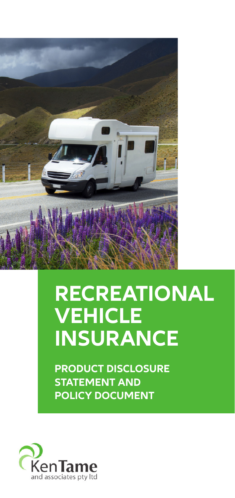

# **RECREATIONAL VEHICLE INSURANCE**

**PRODUCT DISCLOSURE STATEMENT AND POLICY DOCUMENT**

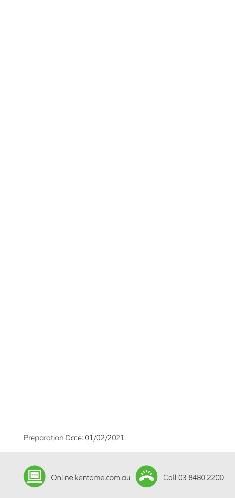Preparation Date: 01/02/2021.



Online kentame.com.au Call 03 8480 2200

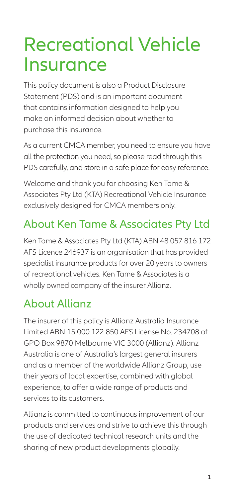## Recreational Vehicle Insurance

This policy document is also a Product Disclosure Statement (PDS) and is an important document that contains information designed to help you make an informed decision about whether to purchase this insurance.

As a current CMCA member, you need to ensure you have all the protection you need, so please read through this PDS carefully, and store in a safe place for easy reference.

Welcome and thank you for choosing Ken Tame & Associates Pty Ltd (KTA) Recreational Vehicle Insurance exclusively designed for CMCA members only.

### About Ken Tame & Associates Pty Ltd

Ken Tame & Associates Pty Ltd (KTA) ABN 48 057 816 172 AFS Licence 246937 is an organisation that has provided specialist insurance products for over 20 years to owners of recreational vehicles. Ken Tame & Associates is a wholly owned company of the insurer Allianz.

### About Allianz

The insurer of this policy is Allianz Australia Insurance Limited ABN 15 000 122 850 AFS License No. 234708 of GPO Box 9870 Melbourne VIC 3000 (Allianz). Allianz Australia is one of Australia's largest general insurers and as a member of the worldwide Allianz Group, use their years of local expertise, combined with global experience, to offer a wide range of products and services to its customers.

Allianz is committed to continuous improvement of our products and services and strive to achieve this through the use of dedicated technical research units and the sharing of new product developments globally.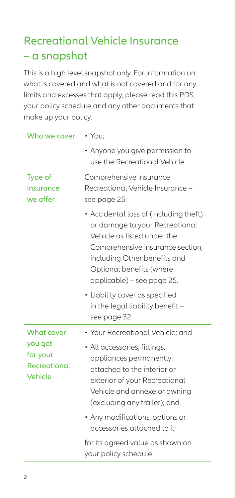### Recreational Vehicle Insurance – a snapshot

This is a high level snapshot only. For information on what is covered and what is not covered and for any limits and excesses that apply, please read this PDS, your policy schedule and any other documents that make up your policy.

| Who we cover                                                 | $\cdot$ You:                                                                                                                                                                                                                                                                                                                |  |
|--------------------------------------------------------------|-----------------------------------------------------------------------------------------------------------------------------------------------------------------------------------------------------------------------------------------------------------------------------------------------------------------------------|--|
|                                                              | • Anyone you give permission to<br>use the Recreational Vehicle.                                                                                                                                                                                                                                                            |  |
| Type of<br>insurance<br>we offer                             | Comprehensive insurance<br>Recreational Vehicle Insurance -<br>see page 25:                                                                                                                                                                                                                                                 |  |
|                                                              | • Accidental loss of (including theft)<br>or damage to your Recreational<br>Vehicle as listed under the<br>Comprehensive insurance section,<br>including Other benefits and<br>Optional benefits (where<br>applicable) - see page 25.<br>• Liability cover as specified<br>in the legal liability benefit -<br>see page 32. |  |
| What cover<br>you get<br>for your<br>Recreational<br>Vehicle | • Your Recreational Vehicle: and<br>• All accessories, fittings,<br>appliances permanently<br>attached to the interior or<br>exterior of your Recreational<br>Vehicle and annexe or awning<br>(excluding any trailer); and<br>• Any modifications, options or<br>accessories attached to it:                                |  |
|                                                              | for its agreed value as shown on<br>your policy schedule.                                                                                                                                                                                                                                                                   |  |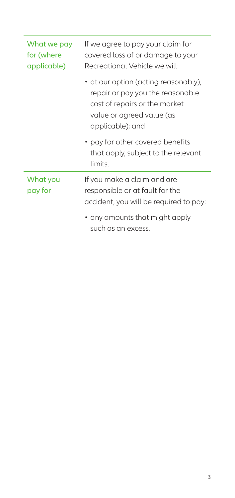| What we pay<br>for (where<br>applicable) | If we agree to pay your claim for<br>covered loss of or damage to your<br>Recreational Vehicle we will:                                                    |  |
|------------------------------------------|------------------------------------------------------------------------------------------------------------------------------------------------------------|--|
|                                          | • at our option (acting reasonably),<br>repair or pay you the reasonable<br>cost of repairs or the market<br>value or agreed value (as<br>applicable); and |  |
|                                          | • pay for other covered benefits<br>that apply, subject to the relevant<br>limits.                                                                         |  |
| What you<br>pay for                      | If you make a claim and are<br>responsible or at fault for the<br>accident, you will be required to pay:                                                   |  |
|                                          | • any amounts that might apply<br>such as an excess.                                                                                                       |  |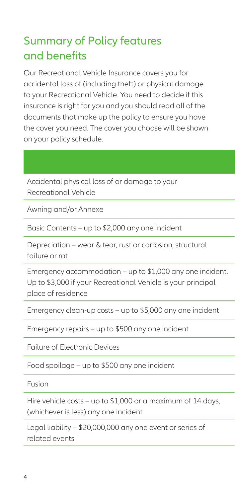### Summary of Policy features and benefits

Our Recreational Vehicle Insurance covers you for accidental loss of (including theft) or physical damage to your Recreational Vehicle. You need to decide if this insurance is right for you and you should read all of the documents that make up the policy to ensure you have the cover you need. The cover you choose will be shown on your policy schedule.

Accidental physical loss of or damage to your<br>Recreational Vehicle

Awning and/or Annexe 4

Basic Contents – up to \$2,000 any one incident

Depreciation – wear & tear, rust or corrosion, structural<br>failure or rot

Emergency accommodation – up to \$1,000 any one incident. Up to \$3,000 if your Recreational Vehicle is your principal place of residence

Emergency clean-up costs – up to  $$5,000$  any one incident

Emergency repairs  $-$  up to \$500 any one incident

Failure of Electronic Devices 8

Food spoilage – up to  $$500$  any one incident

Fusion **Fusion** 

Hire vehicle costs – up to \$1,000 or a maximum of 14 days, (whichever is less) any one incident

Legal liability – \$20,000,000 any one event or series of<br>related events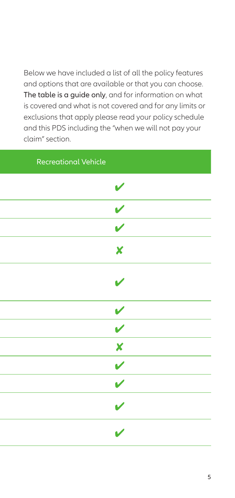Below we have included a list of all the policy features and options that are available or that you can choose. The table is a guide only, and for information on what is covered and what is not covered and for any limits or exclusions that apply please read your policy schedule and this PDS including the "when we will not pay your claim" section.

| <b>Recreational Vehicle</b> |
|-----------------------------|
| $\mathbf v$                 |
| $\checkmark$                |
| $\mathbf v$                 |
| X                           |
| $\mathbf v$                 |
| $\mathbf v$                 |
| $\mathbf v$                 |
| $\boldsymbol{x}$            |
| $\mathbf v$                 |
| $\mathbf v$                 |
| $\boldsymbol{\mathcal{U}}$  |
| $\boldsymbol{\mathcal{U}}$  |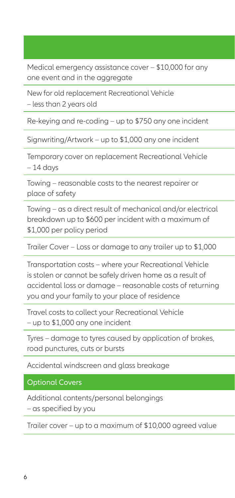Medical emergency assistance cover – \$10,000 for any one event and in the aggregate 4

New for old replacement Recreational Vehicle – less than 2 years old 4

 $Re$ -keying and re-coding – up to \$750 any one incident

Signwriting/Artwork – up to  $$1,000$  any one incident

Temporary cover on replacement Recreational Vehicle<br>– 14 days

Towing – reasonable costs to the nearest repairer or<br>place of safety

Towing – as a direct result of mechanical and/or electrical breakdown up to \$600 per incident with a maximum of \$1,000 per policy period

Trailer Cover – Loss or damage to any trailer up to \$1,000 4

Transportation costs – where your Recreational Vehicle is stolen or cannot be safely driven home as a result of accidental loss or damage – reasonable costs of returning you and your family to your place of residence

Travel costs to collect your Recreational Vehicle  $-$  up to \$1,000 any one incident

Tyres – damage to tyres caused by application of brakes,<br>road punctures, cuts or bursts

Accidental windscreen and glass breakage

Optional Covers

Additional contents/personal belongings – as specified by you 4

Trailer cover – up to a maximum of \$10,000 agreed value 4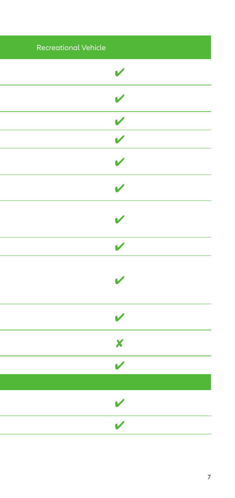| <b>Recreational Vehicle</b> |
|-----------------------------|
| $\checkmark$                |
| $\mathbf v$                 |
| $\mathbf v$                 |
| $\mathbf v$                 |
| $\checkmark$                |
| $\boldsymbol{\nu}$          |
| $\mathbf v$                 |
| $\mathbf v$                 |
| $\boldsymbol{\mathcal{U}}$  |
| $\checkmark$                |
| $\boldsymbol{x}$            |
| $\mathbf v$                 |
|                             |
| $\boldsymbol{\nu}$          |
| $\mathbf v$                 |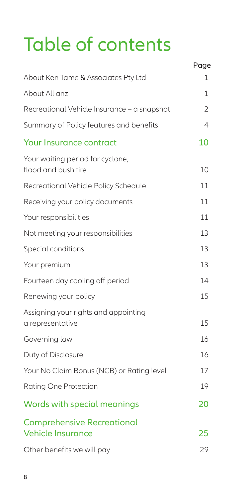# Table of contents

|                                                               | Page |
|---------------------------------------------------------------|------|
| About Ken Tame & Associates Pty Ltd                           | 1    |
| About Allianz                                                 | 1    |
| Recreational Vehicle Insurance - a snapshot                   | 2    |
| Summary of Policy features and benefits                       | 4    |
| <b>Your Insurance contract</b>                                | 10   |
| Your waiting period for cyclone,<br>flood and bush fire       | 10   |
| Recreational Vehicle Policy Schedule                          | 11   |
| Receiving your policy documents                               | 11   |
| Your responsibilities                                         | 11   |
| Not meeting your responsibilities                             | 13   |
| Special conditions                                            | 13   |
| Your premium                                                  | 13   |
| Fourteen day cooling off period                               | 14   |
| Renewing your policy                                          | 15   |
| Assigning your rights and appointing<br>a representative      | 15   |
| Governing law                                                 | 16   |
| Duty of Disclosure                                            | 16   |
| Your No Claim Bonus (NCB) or Rating level                     | 17   |
| Rating One Protection                                         | 19   |
| Words with special meanings                                   | 20   |
| <b>Comprehensive Recreational</b><br><b>Vehicle Insurance</b> | 25   |
| Other benefits we will pay                                    | 29   |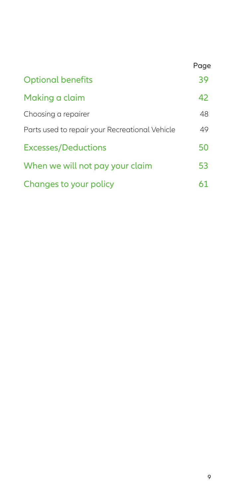|                                                | Page |
|------------------------------------------------|------|
| <b>Optional benefits</b>                       | 39   |
| Making a claim                                 | 42   |
| Choosing a repairer                            | 48   |
| Parts used to repair your Recreational Vehicle | 49   |
| Excesses/Deductions                            | 50   |
| When we will not pay your claim                | 53   |
| Changes to your policy                         | 61   |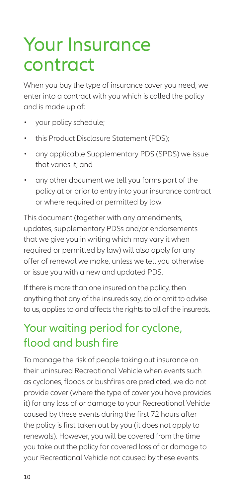## Your Insurance contract

When you buy the type of insurance cover you need, we enter into a contract with you which is called the policy and is made up of:

- your policy schedule;
- this Product Disclosure Statement (PDS);
- any applicable Supplementary PDS (SPDS) we issue that varies it; and
- any other document we tell you forms part of the policy at or prior to entry into your insurance contract or where required or permitted by law.

This document (together with any amendments, updates, supplementary PDSs and/or endorsements that we give you in writing which may vary it when required or permitted by law) will also apply for any offer of renewal we make, unless we tell you otherwise or issue you with a new and updated PDS.

If there is more than one insured on the policy, then anything that any of the insureds say, do or omit to advise to us, applies to and affects the rights to all of the insureds.

### Your waiting period for cyclone, flood and bush fire

To manage the risk of people taking out insurance on their uninsured Recreational Vehicle when events such as cyclones, floods or bushfires are predicted, we do not provide cover (where the type of cover you have provides it) for any loss of or damage to your Recreational Vehicle caused by these events during the first 72 hours after the policy is first taken out by you (it does not apply to renewals). However, you will be covered from the time you take out the policy for covered loss of or damage to your Recreational Vehicle not caused by these events.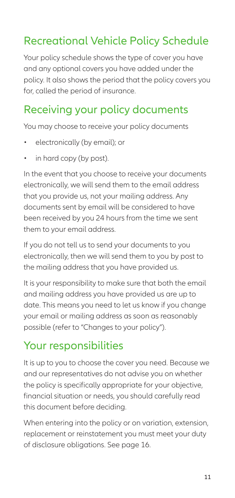### Recreational Vehicle Policy Schedule

Your policy schedule shows the type of cover you have and any optional covers you have added under the policy. It also shows the period that the policy covers you for, called the period of insurance.

### Receiving your policy documents

You may choose to receive your policy documents

- electronically (by email); or
- in hard copy (by post).

In the event that you choose to receive your documents electronically, we will send them to the email address that you provide us, not your mailing address. Any documents sent by email will be considered to have been received by you 24 hours from the time we sent them to your email address.

If you do not tell us to send your documents to you electronically, then we will send them to you by post to the mailing address that you have provided us.

It is your responsibility to make sure that both the email and mailing address you have provided us are up to date. This means you need to let us know if you change your email or mailing address as soon as reasonably possible (refer to "Changes to your policy").

### Your responsibilities

It is up to you to choose the cover you need. Because we and our representatives do not advise you on whether the policy is specifically appropriate for your objective, financial situation or needs, you should carefully read this document before deciding.

When entering into the policy or on variation, extension, replacement or reinstatement you must meet your duty of disclosure obligations. See page 16.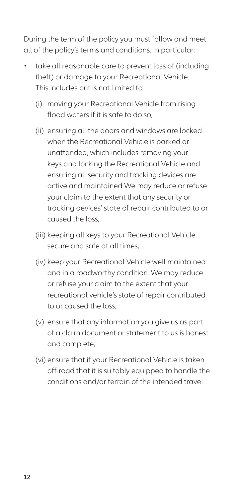During the term of the policy you must follow and meet all of the policy's terms and conditions. In particular:

- take all reasonable care to prevent loss of (including theft) or damage to your Recreational Vehicle. This includes but is not limited to:
	- (i) moving your Recreational Vehicle from rising flood waters if it is safe to do so;
	- (ii) ensuring all the doors and windows are locked when the Recreational Vehicle is parked or unattended, which includes removing your keys and locking the Recreational Vehicle and ensuring all security and tracking devices are active and maintained We may reduce or refuse your claim to the extent that any security or tracking devices' state of repair contributed to or caused the loss;
	- (iii) keeping all keys to your Recreational Vehicle secure and safe at all times;
	- (iv) keep your Recreational Vehicle well maintained and in a roadworthy condition. We may reduce or refuse your claim to the extent that your recreational vehicle's state of repair contributed to or caused the loss;
	- (v) ensure that any information you give us as part of a claim document or statement to us is honest and complete;
	- (vi) ensure that if your Recreational Vehicle is taken off-road that it is suitably equipped to handle the conditions and/or terrain of the intended travel.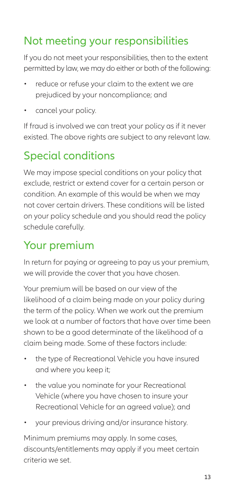### Not meeting your responsibilities

If you do not meet your responsibilities, then to the extent permitted by law, we may do either or both of the following:

- reduce or refuse your claim to the extent we are prejudiced by your noncompliance; and
- cancel your policy.

If fraud is involved we can treat your policy as if it never existed. The above rights are subject to any relevant law.

### Special conditions

We may impose special conditions on your policy that exclude, restrict or extend cover for a certain person or condition. An example of this would be when we may not cover certain drivers. These conditions will be listed on your policy schedule and you should read the policy schedule carefully.

### Your premium

In return for paying or agreeing to pay us your premium, we will provide the cover that you have chosen.

Your premium will be based on our view of the likelihood of a claim being made on your policy during the term of the policy. When we work out the premium we look at a number of factors that have over time been shown to be a good determinate of the likelihood of a claim being made. Some of these factors include:

- the type of Recreational Vehicle you have insured and where you keep it;
- the value you nominate for your Recreational Vehicle (where you have chosen to insure your Recreational Vehicle for an agreed value); and
- your previous driving and/or insurance history.

Minimum premiums may apply. In some cases, discounts/entitlements may apply if you meet certain criteria we set.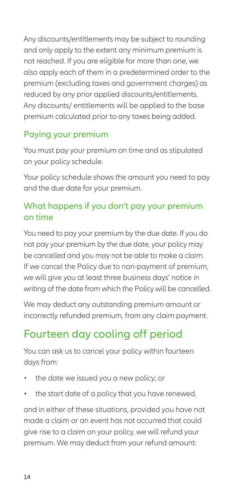Any discounts/entitlements may be subject to rounding and only apply to the extent any minimum premium is not reached. If you are eligible for more than one, we also apply each of them in a predetermined order to the premium (excluding taxes and government charges) as reduced by any prior applied discounts/entitlements. Any discounts/ entitlements will be applied to the base premium calculated prior to any taxes being added.

#### Paying your premium

You must pay your premium on time and as stipulated on your policy schedule.

Your policy schedule shows the amount you need to pay and the due date for your premium.

#### What happens if you don't pay your premium on time

You need to pay your premium by the due date. If you do not pay your premium by the due date, your policy may be cancelled and you may not be able to make a claim. If we cancel the Policy due to non-payment of premium, we will give you at least three business days' notice in writing of the date from which the Policy will be cancelled.

We may deduct any outstanding premium amount or incorrectly refunded premium, from any claim payment.

### Fourteen day cooling off period

You can ask us to cancel your policy within fourteen days from:

- the date we issued you a new policy; or
- the start date of a policy that you have renewed,

and in either of these situations, provided you have not made a claim or an event has not occurred that could give rise to a claim on your policy, we will refund your premium. We may deduct from your refund amount: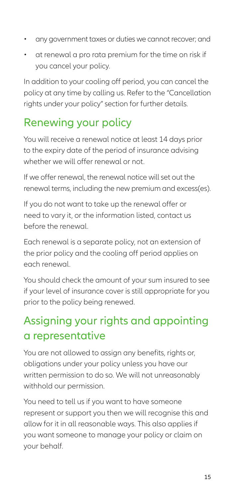- any government taxes or duties we cannot recover; and
- at renewal a pro rata premium for the time on risk if you cancel your policy.

In addition to your cooling off period, you can cancel the policy at any time by calling us. Refer to the "Cancellation rights under your policy" section for further details.

### Renewing your policy

You will receive a renewal notice at least 14 days prior to the expiry date of the period of insurance advising whether we will offer renewal or not.

If we offer renewal, the renewal notice will set out the renewal terms, including the new premium and excess(es).

If you do not want to take up the renewal offer or need to vary it, or the information listed, contact us before the renewal.

Each renewal is a separate policy, not an extension of the prior policy and the cooling off period applies on each renewal.

You should check the amount of your sum insured to see if your level of insurance cover is still appropriate for you prior to the policy being renewed.

### Assigning your rights and appointing a representative

You are not allowed to assign any benefits, rights or, obligations under your policy unless you have our written permission to do so. We will not unreasonably withhold our permission.

You need to tell us if you want to have someone represent or support you then we will recognise this and allow for it in all reasonable ways. This also applies if you want someone to manage your policy or claim on your behalf.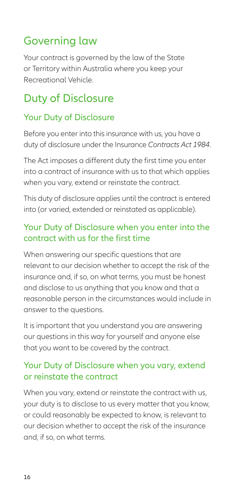### Governing law

Your contract is governed by the law of the State or Territory within Australia where you keep your Recreational Vehicle.

### Duty of Disclosure

#### Your Duty of Disclosure

Before you enter into this insurance with us, you have a duty of disclosure under the Insurance *Contracts Act 1984*.

The Act imposes a different duty the first time you enter into a contract of insurance with us to that which applies when you vary, extend or reinstate the contract.

This duty of disclosure applies until the contract is entered into (or varied, extended or reinstated as applicable).

#### Your Duty of Disclosure when you enter into the contract with us for the first time

When answering our specific questions that are relevant to our decision whether to accept the risk of the insurance and, if so, on what terms, you must be honest and disclose to us anything that you know and that a reasonable person in the circumstances would include in answer to the questions.

It is important that you understand you are answering our questions in this way for yourself and anyone else that you want to be covered by the contract.

#### Your Duty of Disclosure when you vary, extend or reinstate the contract

When you vary, extend or reinstate the contract with us, your duty is to disclose to us every matter that you know, or could reasonably be expected to know, is relevant to our decision whether to accept the risk of the insurance and, if so, on what terms.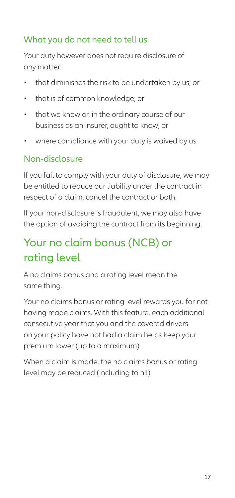#### What you do not need to tell us

Your duty however does not require disclosure of any matter:

- that diminishes the risk to be undertaken by us; or
- that is of common knowledge; or
- that we know or, in the ordinary course of our business as an insurer, ought to know; or
- where compliance with your duty is waived by us.

#### Non-disclosure

If you fail to comply with your duty of disclosure, we may be entitled to reduce our liability under the contract in respect of a claim, cancel the contract or both.

If your non-disclosure is fraudulent, we may also have the option of avoiding the contract from its beginning.

### Your no claim bonus (NCB) or rating level

A no claims bonus and a rating level mean the same thing.

Your no claims bonus or rating level rewards you for not having made claims. With this feature, each additional consecutive year that you and the covered drivers on your policy have not had a claim helps keep your premium lower (up to a maximum).

When a claim is made, the no claims bonus or rating level may be reduced (including to nil).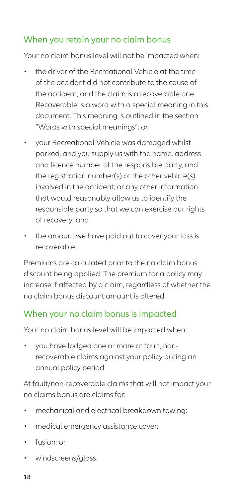#### When you retain your no claim bonus

Your no claim bonus level will not be impacted when:

- the driver of the Recreational Vehicle at the time of the accident did not contribute to the cause of the accident, and the claim is a recoverable one. Recoverable is a word with a special meaning in this document. This meaning is outlined in the section "Words with special meanings"; or
- your Recreational Vehicle was damaged whilst parked, and you supply us with the name, address and licence number of the responsible party, and the registration number(s) of the other vehicle(s) involved in the accident; or any other information that would reasonably allow us to identify the responsible party so that we can exercise our rights of recovery; and
- the amount we have paid out to cover your loss is recoverable.

Premiums are calculated prior to the no claim bonus discount being applied. The premium for a policy may increase if affected by a claim, regardless of whether the no claim bonus discount amount is altered.

#### When your no claim bonus is impacted

Your no claim bonus level will be impacted when:

• you have lodged one or more at fault, nonrecoverable claims against your policy during an annual policy period.

At fault/non-recoverable claims that will not impact your no claims bonus are claims for:

- mechanical and electrical breakdown towing;
- medical emergency assistance cover;
- fusion; or
- windscreens/glass.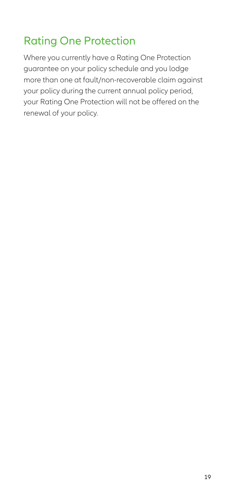### Rating One Protection

Where you currently have a Rating One Protection guarantee on your policy schedule and you lodge more than one at fault/non-recoverable claim against your policy during the current annual policy period, your Rating One Protection will not be offered on the renewal of your policy.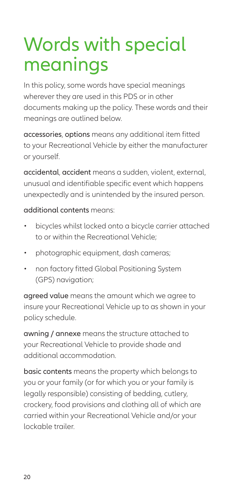## Words with special meanings

In this policy, some words have special meanings wherever they are used in this PDS or in other documents making up the policy. These words and their meanings are outlined below.

accessories, options means any additional item fitted to your Recreational Vehicle by either the manufacturer or yourself.

accidental, accident means a sudden, violent, external, unusual and identifiable specific event which happens unexpectedly and is unintended by the insured person.

#### additional contents means:

- bicycles whilst locked onto a bicycle carrier attached to or within the Recreational Vehicle;
- photographic equipment, dash cameras;
- non factory fitted Global Positioning System (GPS) navigation;

agreed value means the amount which we agree to insure your Recreational Vehicle up to as shown in your policy schedule.

awning / annexe means the structure attached to your Recreational Vehicle to provide shade and additional accommodation.

basic contents means the property which belongs to you or your family (or for which you or your family is legally responsible) consisting of bedding, cutlery, crockery, food provisions and clothing all of which are carried within your Recreational Vehicle and/or your lockable trailer.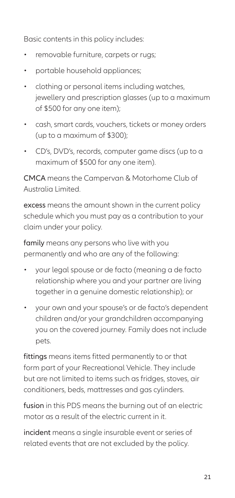Basic contents in this policy includes:

- removable furniture, carpets or rugs;
- portable household appliances;
- clothing or personal items including watches, jewellery and prescription glasses (up to a maximum of \$500 for any one item);
- cash, smart cards, vouchers, tickets or money orders (up to a maximum of \$300);
- CD's, DVD's, records, computer game discs (up to a maximum of \$500 for any one item).

CMCA means the Campervan & Motorhome Club of Australia Limited.

excess means the amount shown in the current policy schedule which you must pay as a contribution to your claim under your policy.

family means any persons who live with you permanently and who are any of the following:

- your legal spouse or de facto (meaning a de facto relationship where you and your partner are living together in a genuine domestic relationship); or
- your own and your spouse's or de facto's dependent children and/or your grandchildren accompanying you on the covered journey. Family does not include pets.

fittings means items fitted permanently to or that form part of your Recreational Vehicle. They include but are not limited to items such as fridges, stoves, air conditioners, beds, mattresses and gas cylinders.

fusion in this PDS means the burning out of an electric motor as a result of the electric current in it.

incident means a single insurable event or series of related events that are not excluded by the policy.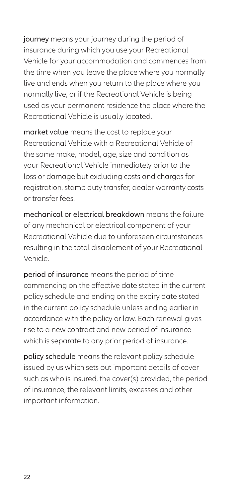journey means your journey during the period of insurance during which you use your Recreational Vehicle for your accommodation and commences from the time when you leave the place where you normally live and ends when you return to the place where you normally live, or if the Recreational Vehicle is being used as your permanent residence the place where the Recreational Vehicle is usually located.

market value means the cost to replace your Recreational Vehicle with a Recreational Vehicle of the same make, model, age, size and condition as your Recreational Vehicle immediately prior to the loss or damage but excluding costs and charges for registration, stamp duty transfer, dealer warranty costs or transfer fees.

mechanical or electrical breakdown means the failure of any mechanical or electrical component of your Recreational Vehicle due to unforeseen circumstances resulting in the total disablement of your Recreational Vehicle.

period of insurance means the period of time commencing on the effective date stated in the current policy schedule and ending on the expiry date stated in the current policy schedule unless ending earlier in accordance with the policy or law. Each renewal gives rise to a new contract and new period of insurance which is separate to any prior period of insurance.

policy schedule means the relevant policy schedule issued by us which sets out important details of cover such as who is insured, the cover(s) provided, the period of insurance, the relevant limits, excesses and other important information.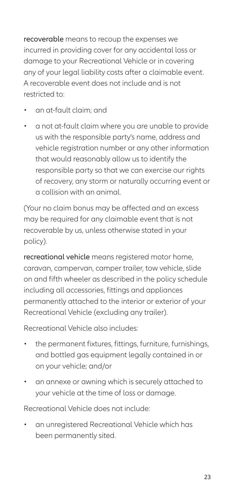recoverable means to recoup the expenses we incurred in providing cover for any accidental loss or damage to your Recreational Vehicle or in covering any of your legal liability costs after a claimable event. A recoverable event does not include and is not restricted to:

- an at-fault claim; and
- a not at-fault claim where you are unable to provide us with the responsible party's name, address and vehicle registration number or any other information that would reasonably allow us to identify the responsible party so that we can exercise our rights of recovery, any storm or naturally occurring event or a collision with an animal.

(Your no claim bonus may be affected and an excess may be required for any claimable event that is not recoverable by us, unless otherwise stated in your policy).

recreational vehicle means registered motor home, caravan, campervan, camper trailer, tow vehicle, slide on and fifth wheeler as described in the policy schedule including all accessories, fittings and appliances permanently attached to the interior or exterior of your Recreational Vehicle (excluding any trailer).

Recreational Vehicle also includes:

- the permanent fixtures, fittings, furniture, furnishings, and bottled gas equipment legally contained in or on your vehicle; and/or
- an annexe or awning which is securely attached to your vehicle at the time of loss or damage.

Recreational Vehicle does not include:

• an unregistered Recreational Vehicle which has been permanently sited.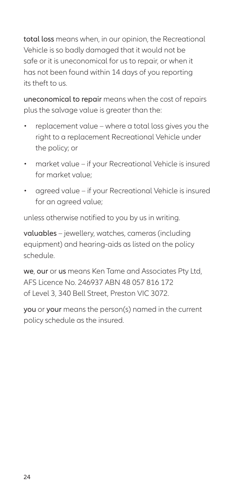total loss means when, in our opinion, the Recreational Vehicle is so badly damaged that it would not be safe or it is uneconomical for us to repair, or when it has not been found within 14 days of you reporting its theft to us.

uneconomical to repair means when the cost of repairs plus the salvage value is greater than the:

- replacement value where a total loss gives you the right to a replacement Recreational Vehicle under the policy; or
- market value if your Recreational Vehicle is insured for market value;
- agreed value if your Recreational Vehicle is insured for an agreed value;

unless otherwise notified to you by us in writing.

valuables – jewellery, watches, cameras (including equipment) and hearing-aids as listed on the policy schedule.

we, our or us means Ken Tame and Associates Pty Ltd, AFS Licence No. 246937 ABN 48 057 816 172 of Level 3, 340 Bell Street, Preston VIC 3072.

you or your means the person(s) named in the current policy schedule as the insured.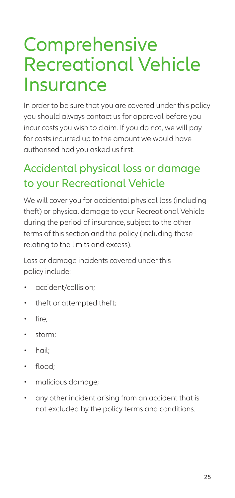## **Comprehensive** Recreational Vehicle Insurance

In order to be sure that you are covered under this policy you should always contact us for approval before you incur costs you wish to claim. If you do not, we will pay for costs incurred up to the amount we would have authorised had you asked us first.

### Accidental physical loss or damage to your Recreational Vehicle

We will cover you for accidental physical loss (including theft) or physical damage to your Recreational Vehicle during the period of insurance, subject to the other terms of this section and the policy (including those relating to the limits and excess).

Loss or damage incidents covered under this policy include:

- accident/collision;
- theft or attempted theft;
- fire;
- storm;
- hail;
- flood;
- malicious damage;
- any other incident arising from an accident that is not excluded by the policy terms and conditions.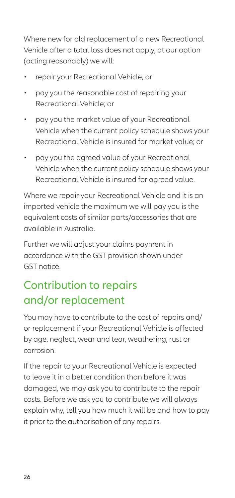Where new for old replacement of a new Recreational Vehicle after a total loss does not apply, at our option (acting reasonably) we will:

- repair your Recreational Vehicle; or
- pay you the reasonable cost of repairing your Recreational Vehicle; or
- pay you the market value of your Recreational Vehicle when the current policy schedule shows your Recreational Vehicle is insured for market value; or
- pay you the agreed value of your Recreational Vehicle when the current policy schedule shows your Recreational Vehicle is insured for agreed value.

Where we repair your Recreational Vehicle and it is an imported vehicle the maximum we will pay you is the equivalent costs of similar parts/accessories that are available in Australia.

Further we will adjust your claims payment in accordance with the GST provision shown under GST notice.

### Contribution to repairs and/or replacement

You may have to contribute to the cost of repairs and/ or replacement if your Recreational Vehicle is affected by age, neglect, wear and tear, weathering, rust or corrosion.

If the repair to your Recreational Vehicle is expected to leave it in a better condition than before it was damaged, we may ask you to contribute to the repair costs. Before we ask you to contribute we will always explain why, tell you how much it will be and how to pay it prior to the authorisation of any repairs.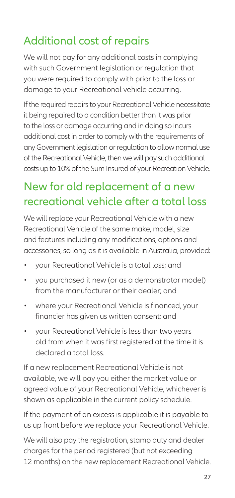### Additional cost of repairs

We will not pay for any additional costs in complying with such Government legislation or regulation that you were required to comply with prior to the loss or damage to your Recreational vehicle occurring.

If the required repairs to your Recreational Vehicle necessitate it being repaired to a condition better than it was prior to the loss or damage occurring and in doing so incurs additional cost in order to comply with the requirements of any Government legislation or regulation to allow normal use of the Recreational Vehicle, then we will pay such additional costs up to 10% of the Sum Insured of your Recreation Vehicle.

### New for old replacement of a new recreational vehicle after a total loss

We will replace your Recreational Vehicle with a new Recreational Vehicle of the same make, model, size and features including any modifications, options and accessories, so long as it is available in Australia, provided:

- your Recreational Vehicle is a total loss; and
- you purchased it new (or as a demonstrator model) from the manufacturer or their dealer; and
- where your Recreational Vehicle is financed, your financier has given us written consent; and
- your Recreational Vehicle is less than two years old from when it was first registered at the time it is declared a total loss.

If a new replacement Recreational Vehicle is not available, we will pay you either the market value or agreed value of your Recreational Vehicle, whichever is shown as applicable in the current policy schedule.

If the payment of an excess is applicable it is payable to us up front before we replace your Recreational Vehicle.

We will also pay the registration, stamp duty and dealer charges for the period registered (but not exceeding 12 months) on the new replacement Recreational Vehicle.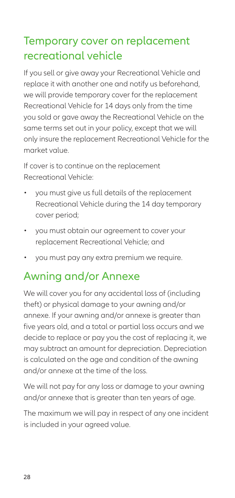### Temporary cover on replacement recreational vehicle

If you sell or give away your Recreational Vehicle and replace it with another one and notify us beforehand, we will provide temporary cover for the replacement Recreational Vehicle for 14 days only from the time you sold or gave away the Recreational Vehicle on the same terms set out in your policy, except that we will only insure the replacement Recreational Vehicle for the market value.

If cover is to continue on the replacement Recreational Vehicle:

- you must give us full details of the replacement Recreational Vehicle during the 14 day temporary cover period;
- you must obtain our agreement to cover your replacement Recreational Vehicle; and
- you must pay any extra premium we require.

### Awning and/or Annexe

We will cover you for any accidental loss of (including theft) or physical damage to your awning and/or annexe. If your awning and/or annexe is greater than five years old, and a total or partial loss occurs and we decide to replace or pay you the cost of replacing it, we may subtract an amount for depreciation. Depreciation is calculated on the age and condition of the awning and/or annexe at the time of the loss.

We will not pay for any loss or damage to your awning and/or annexe that is greater than ten years of age.

The maximum we will pay in respect of any one incident is included in your agreed value.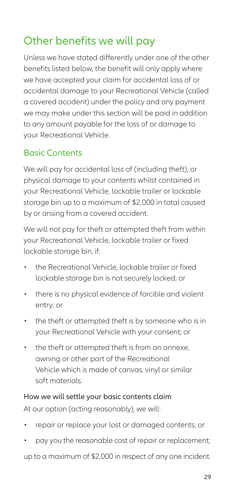### Other benefits we will pay

Unless we have stated differently under one of the other benefits listed below, the benefit will only apply where we have accepted your claim for accidental loss of or accidental damage to your Recreational Vehicle (called a covered accident) under the policy and any payment we may make under this section will be paid in addition to any amount payable for the loss of or damage to your Recreational Vehicle.

#### Basic Contents

We will pay for accidental loss of (including theft), or physical damage to your contents whilst contained in your Recreational Vehicle, lockable trailer or lockable storage bin up to a maximum of \$2,000 in total caused by or arising from a covered accident.

We will not pay for theft or attempted theft from within your Recreational Vehicle, lockable trailer or fixed lockable storage bin, if:

- the Recreational Vehicle, lockable trailer or fixed lockable storage bin is not securely locked; or
- there is no physical evidence of forcible and violent entry; or
- the theft or attempted theft is by someone who is in your Recreational Vehicle with your consent; or
- the theft or attempted theft is from an annexe, awning or other part of the Recreational Vehicle which is made of canvas, vinyl or similar soft materials.

#### How we will settle your basic contents claim

At our option (acting reasonably), we will:

- repair or replace your lost or damaged contents; or
- pay you the reasonable cost of repair or replacement;

up to a maximum of \$2,000 in respect of any one incident.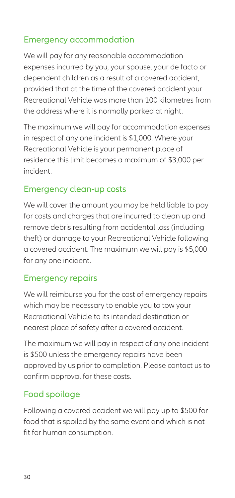#### Emergency accommodation

We will pay for any reasonable accommodation expenses incurred by you, your spouse, your de facto or dependent children as a result of a covered accident, provided that at the time of the covered accident your Recreational Vehicle was more than 100 kilometres from the address where it is normally parked at night.

The maximum we will pay for accommodation expenses in respect of any one incident is \$1,000. Where your Recreational Vehicle is your permanent place of residence this limit becomes a maximum of \$3,000 per incident.

#### Emergency clean-up costs

We will cover the amount you may be held liable to pay for costs and charges that are incurred to clean up and remove debris resulting from accidental loss (including theft) or damage to your Recreational Vehicle following a covered accident. The maximum we will pay is \$5,000 for any one incident.

#### Emergency repairs

We will reimburse you for the cost of emergency repairs which may be necessary to enable you to tow your Recreational Vehicle to its intended destination or nearest place of safety after a covered accident.

The maximum we will pay in respect of any one incident is \$500 unless the emergency repairs have been approved by us prior to completion. Please contact us to confirm approval for these costs.

#### Food spoilage

Following a covered accident we will pay up to \$500 for food that is spoiled by the same event and which is not fit for human consumption.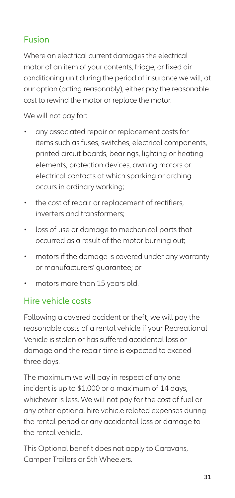#### Fusion

Where an electrical current damages the electrical motor of an item of your contents, fridge, or fixed air conditioning unit during the period of insurance we will, at our option (acting reasonably), either pay the reasonable cost to rewind the motor or replace the motor.

We will not pay for:

- any associated repair or replacement costs for items such as fuses, switches, electrical components, printed circuit boards, bearings, lighting or heating elements, protection devices, awning motors or electrical contacts at which sparking or arching occurs in ordinary working;
- the cost of repair or replacement of rectifiers, inverters and transformers;
- loss of use or damage to mechanical parts that occurred as a result of the motor burning out;
- motors if the damage is covered under any warranty or manufacturers' guarantee; or
- motors more than 15 years old.

#### Hire vehicle costs

Following a covered accident or theft, we will pay the reasonable costs of a rental vehicle if your Recreational Vehicle is stolen or has suffered accidental loss or damage and the repair time is expected to exceed three days.

The maximum we will pay in respect of any one incident is up to \$1,000 or a maximum of 14 days, whichever is less. We will not pay for the cost of fuel or any other optional hire vehicle related expenses during the rental period or any accidental loss or damage to the rental vehicle.

This Optional benefit does not apply to Caravans, Camper Trailers or 5th Wheelers.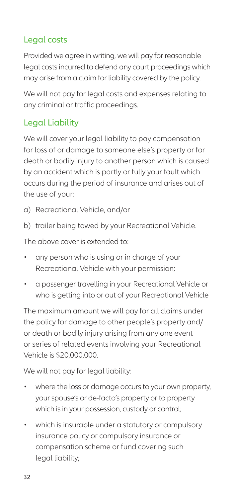#### Legal costs

Provided we agree in writing, we will pay for reasonable legal costs incurred to defend any court proceedings which may arise from a claim for liability covered by the policy.

We will not pay for legal costs and expenses relating to any criminal or traffic proceedings.

#### Legal Liability

We will cover your legal liability to pay compensation for loss of or damage to someone else's property or for death or bodily injury to another person which is caused by an accident which is partly or fully your fault which occurs during the period of insurance and arises out of the use of your:

- a) Recreational Vehicle, and/or
- b) trailer being towed by your Recreational Vehicle.

The above cover is extended to:

- any person who is using or in charge of your Recreational Vehicle with your permission;
- a passenger travelling in your Recreational Vehicle or who is getting into or out of your Recreational Vehicle

The maximum amount we will pay for all claims under the policy for damage to other people's property and/ or death or bodily injury arising from any one event or series of related events involving your Recreational Vehicle is \$20,000,000.

We will not pay for legal liability:

- where the loss or damage occurs to your own property, your spouse's or de-facto's property or to property which is in your possession, custody or control;
- which is insurable under a statutory or compulsory insurance policy or compulsory insurance or compensation scheme or fund covering such legal liability;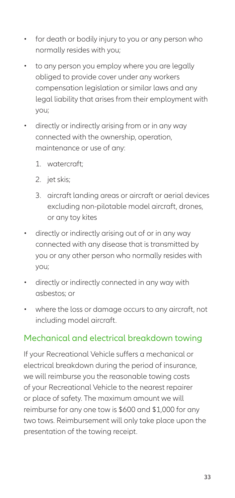- for death or bodily injury to you or any person who normally resides with you;
- to any person you employ where you are legally obliged to provide cover under any workers compensation legislation or similar laws and any legal liability that arises from their employment with you;
- directly or indirectly arising from or in any way connected with the ownership, operation, maintenance or use of any:
	- 1. watercraft;
	- 2. jet skis;
	- 3. aircraft landing areas or aircraft or aerial devices excluding non-pilotable model aircraft, drones, or any toy kites
- directly or indirectly arising out of or in any way connected with any disease that is transmitted by you or any other person who normally resides with you;
- directly or indirectly connected in any way with asbestos; or
- where the loss or damage occurs to any aircraft, not including model aircraft.

#### Mechanical and electrical breakdown towing

If your Recreational Vehicle suffers a mechanical or electrical breakdown during the period of insurance, we will reimburse you the reasonable towing costs of your Recreational Vehicle to the nearest repairer or place of safety. The maximum amount we will reimburse for any one tow is \$600 and \$1,000 for any two tows. Reimbursement will only take place upon the presentation of the towing receipt.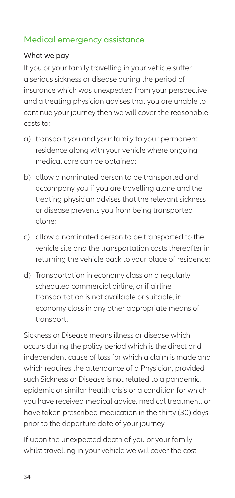#### Medical emergency assistance

#### What we pay

If you or your family travelling in your vehicle suffer a serious sickness or disease during the period of insurance which was unexpected from your perspective and a treating physician advises that you are unable to continue your journey then we will cover the reasonable costs to:

- a) transport you and your family to your permanent residence along with your vehicle where ongoing medical care can be obtained;
- b) allow a nominated person to be transported and accompany you if you are travelling alone and the treating physician advises that the relevant sickness or disease prevents you from being transported alone;
- c) allow a nominated person to be transported to the vehicle site and the transportation costs thereafter in returning the vehicle back to your place of residence;
- d) Transportation in economy class on a regularly scheduled commercial airline, or if airline transportation is not available or suitable, in economy class in any other appropriate means of transport.

Sickness or Disease means illness or disease which occurs during the policy period which is the direct and independent cause of loss for which a claim is made and which requires the attendance of a Physician, provided such Sickness or Disease is not related to a pandemic, epidemic or similar health crisis or a condition for which you have received medical advice, medical treatment, or have taken prescribed medication in the thirty (30) days prior to the departure date of your journey.

If upon the unexpected death of you or your family whilst travelling in your vehicle we will cover the cost: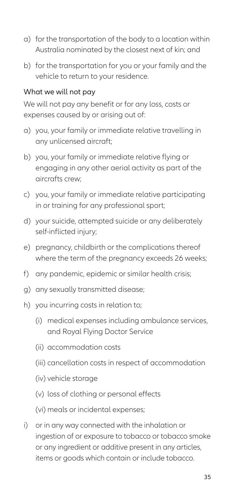- a) for the transportation of the body to a location within Australia nominated by the closest next of kin; and
- b) for the transportation for you or your family and the vehicle to return to your residence.

#### What we will not pay

We will not pay any benefit or for any loss, costs or expenses caused by or arising out of:

- a) you, your family or immediate relative travelling in any unlicensed aircraft;
- b) you, your family or immediate relative flying or engaging in any other aerial activity as part of the aircrafts crew;
- c) you, your family or immediate relative participating in or training for any professional sport;
- d) your suicide, attempted suicide or any deliberately self-inflicted injury;
- e) pregnancy, childbirth or the complications thereof where the term of the pregnancy exceeds 26 weeks;
- f) any pandemic, epidemic or similar health crisis;
- g) any sexually transmitted disease;
- h) you incurring costs in relation to;
	- (i) medical expenses including ambulance services, and Royal Flying Doctor Service
	- (ii) accommodation costs
	- (iii) cancellation costs in respect of accommodation
	- (iv) vehicle storage
	- (v) loss of clothing or personal effects
	- (vi) meals or incidental expenses;
- i) or in any way connected with the inhalation or ingestion of or exposure to tobacco or tobacco smoke or any ingredient or additive present in any articles, items or goods which contain or include tobacco.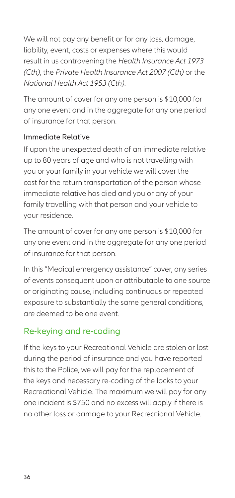We will not pay any benefit or for any loss, damage, liability, event, costs or expenses where this would result in us contravening the *Health Insurance Act 1973 (Cth)*, the *Private Health Insurance Act 2007 (Cth)* or the *National Health Act 1953 (Cth)*.

The amount of cover for any one person is \$10,000 for any one event and in the aggregate for any one period of insurance for that person.

#### Immediate Relative

If upon the unexpected death of an immediate relative up to 80 years of age and who is not travelling with you or your family in your vehicle we will cover the cost for the return transportation of the person whose immediate relative has died and you or any of your family travelling with that person and your vehicle to your residence.

The amount of cover for any one person is \$10,000 for any one event and in the aggregate for any one period of insurance for that person.

In this "Medical emergency assistance" cover, any series of events consequent upon or attributable to one source or originating cause, including continuous or repeated exposure to substantially the same general conditions, are deemed to be one event.

### Re-keying and re-coding

If the keys to your Recreational Vehicle are stolen or lost during the period of insurance and you have reported this to the Police, we will pay for the replacement of the keys and necessary re-coding of the locks to your Recreational Vehicle. The maximum we will pay for any one incident is \$750 and no excess will apply if there is no other loss or damage to your Recreational Vehicle.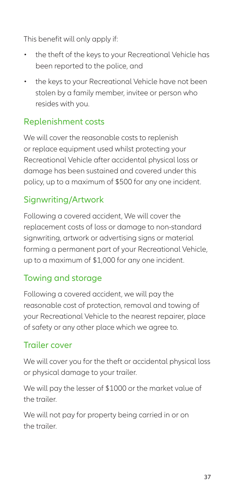This benefit will only apply if:

- the theft of the keys to your Recreational Vehicle has been reported to the police, and
- the keys to your Recreational Vehicle have not been stolen by a family member, invitee or person who resides with you.

### Replenishment costs

We will cover the reasonable costs to replenish or replace equipment used whilst protecting your Recreational Vehicle after accidental physical loss or damage has been sustained and covered under this policy, up to a maximum of \$500 for any one incident.

### Signwriting/Artwork

Following a covered accident, We will cover the replacement costs of loss or damage to non-standard signwriting, artwork or advertising signs or material forming a permanent part of your Recreational Vehicle, up to a maximum of \$1,000 for any one incident.

### Towing and storage

Following a covered accident, we will pay the reasonable cost of protection, removal and towing of your Recreational Vehicle to the nearest repairer, place of safety or any other place which we agree to.

### Trailer cover

We will cover you for the theft or accidental physical loss or physical damage to your trailer.

We will pay the lesser of \$1000 or the market value of the trailer.

We will not pay for property being carried in or on the trailer.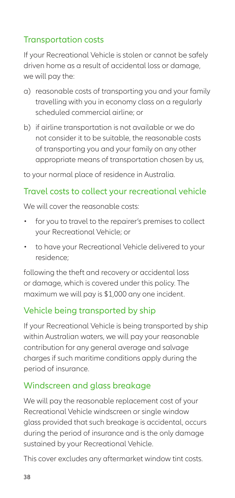### Transportation costs

If your Recreational Vehicle is stolen or cannot be safely driven home as a result of accidental loss or damage, we will pay the:

- a) reasonable costs of transporting you and your family travelling with you in economy class on a regularly scheduled commercial airline; or
- b) if airline transportation is not available or we do not consider it to be suitable, the reasonable costs of transporting you and your family on any other appropriate means of transportation chosen by us,

to your normal place of residence in Australia.

#### Travel costs to collect your recreational vehicle

We will cover the reasonable costs:

- for you to travel to the repairer's premises to collect your Recreational Vehicle; or
- to have your Recreational Vehicle delivered to your residence;

following the theft and recovery or accidental loss or damage, which is covered under this policy. The maximum we will pay is \$1,000 any one incident.

### Vehicle being transported by ship

If your Recreational Vehicle is being transported by ship within Australian waters, we will pay your reasonable contribution for any general average and salvage charges if such maritime conditions apply during the period of insurance.

### Windscreen and glass breakage

We will pay the reasonable replacement cost of your Recreational Vehicle windscreen or single window glass provided that such breakage is accidental, occurs during the period of insurance and is the only damage sustained by your Recreational Vehicle.

This cover excludes any aftermarket window tint costs.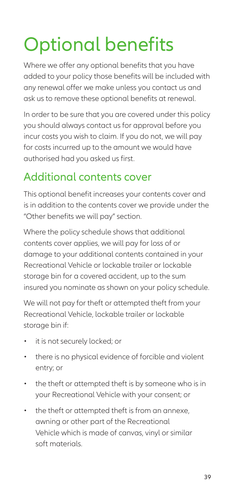# Optional benefits

Where we offer any optional benefits that you have added to your policy those benefits will be included with any renewal offer we make unless you contact us and ask us to remove these optional benefits at renewal.

In order to be sure that you are covered under this policy you should always contact us for approval before you incur costs you wish to claim. If you do not, we will pay for costs incurred up to the amount we would have authorised had you asked us first.

### Additional contents cover

This optional benefit increases your contents cover and is in addition to the contents cover we provide under the "Other benefits we will pay" section.

Where the policy schedule shows that additional contents cover applies, we will pay for loss of or damage to your additional contents contained in your Recreational Vehicle or lockable trailer or lockable storage bin for a covered accident, up to the sum insured you nominate as shown on your policy schedule.

We will not pay for theft or attempted theft from your Recreational Vehicle, lockable trailer or lockable storage bin if:

- it is not securely locked; or
- there is no physical evidence of forcible and violent entry; or
- the theft or attempted theft is by someone who is in your Recreational Vehicle with your consent; or
- the theft or attempted theft is from an annexe, awning or other part of the Recreational Vehicle which is made of canvas, vinyl or similar soft materials.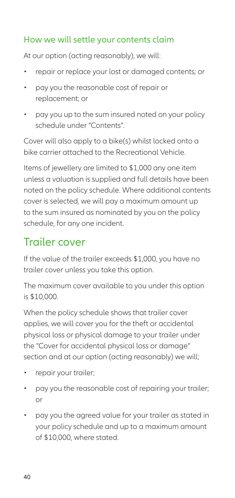### How we will settle your contents claim

At our option (acting reasonably), we will:

- repair or replace your lost or damaged contents; or
- pay you the reasonable cost of repair or replacement; or
- pay you up to the sum insured noted on your policy schedule under "Contents".

Cover will also apply to a bike(s) whilst locked onto a bike carrier attached to the Recreational Vehicle.

Items of jewellery are limited to \$1,000 any one item unless a valuation is supplied and full details have been noted on the policy schedule. Where additional contents cover is selected, we will pay a maximum amount up to the sum insured as nominated by you on the policy schedule, for any one incident.

# Trailer cover

If the value of the trailer exceeds \$1,000, you have no trailer cover unless you take this option.

The maximum cover available to you under this option is \$10,000.

When the policy schedule shows that trailer cover applies, we will cover you for the theft or accidental physical loss or physical damage to your trailer under the "Cover for accidental physical loss or damage" section and at our option (acting reasonably) we will;

- repair your trailer;
- pay you the reasonable cost of repairing your trailer; or
- pay you the agreed value for your trailer as stated in your policy schedule and up to a maximum amount of \$10,000, where stated.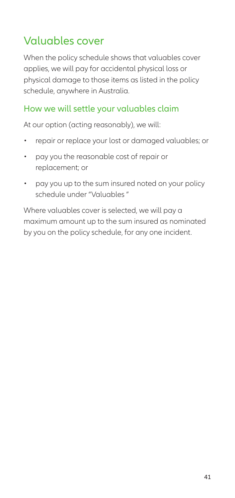# Valuables cover

When the policy schedule shows that valuables cover applies, we will pay for accidental physical loss or physical damage to those items as listed in the policy schedule, anywhere in Australia.

### How we will settle your valuables claim

At our option (acting reasonably), we will:

- repair or replace your lost or damaged valuables; or
- pay you the reasonable cost of repair or replacement; or
- pay you up to the sum insured noted on your policy schedule under "Valuables "

Where valuables cover is selected, we will pay a maximum amount up to the sum insured as nominated by you on the policy schedule, for any one incident.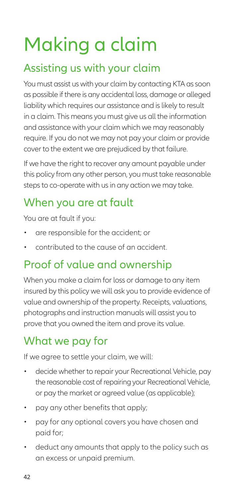# Making a claim

# Assisting us with your claim

You must assist us with your claim by contacting KTA as soon as possible if there is any accidental loss, damage or alleged liability which requires our assistance and is likely to result in a claim. This means you must give us all the information and assistance with your claim which we may reasonably require. If you do not we may not pay your claim or provide cover to the extent we are prejudiced by that failure.

If we have the right to recover any amount payable under this policy from any other person, you must take reasonable steps to co-operate with us in any action we may take.

# When you are at fault

You are at fault if you:

- are responsible for the accident; or
- contributed to the cause of an accident.

### Proof of value and ownership

When you make a claim for loss or damage to any item insured by this policy we will ask you to provide evidence of value and ownership of the property. Receipts, valuations, photographs and instruction manuals will assist you to prove that you owned the item and prove its value.

# What we pay for

If we agree to settle your claim, we will:

- decide whether to repair your Recreational Vehicle, pay the reasonable cost of repairing your Recreational Vehicle, or pay the market or agreed value (as applicable);
- pay any other benefits that apply;
- pay for any optional covers you have chosen and paid for;
- deduct any amounts that apply to the policy such as an excess or unpaid premium.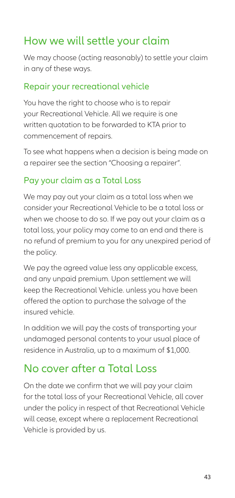# How we will settle your claim

We may choose (acting reasonably) to settle your claim in any of these ways.

#### Repair your recreational vehicle

You have the right to choose who is to repair your Recreational Vehicle. All we require is one written quotation to be forwarded to KTA prior to commencement of repairs.

To see what happens when a decision is being made on a repairer see the section "Choosing a repairer".

### Pay your claim as a Total Loss

We may pay out your claim as a total loss when we consider your Recreational Vehicle to be a total loss or when we choose to do so. If we pay out your claim as a total loss, your policy may come to an end and there is no refund of premium to you for any unexpired period of the policy.

We pay the agreed value less any applicable excess, and any unpaid premium. Upon settlement we will keep the Recreational Vehicle. unless you have been offered the option to purchase the salvage of the insured vehicle.

In addition we will pay the costs of transporting your undamaged personal contents to your usual place of residence in Australia, up to a maximum of \$1,000.

# No cover after a Total Loss

On the date we confirm that we will pay your claim for the total loss of your Recreational Vehicle, all cover under the policy in respect of that Recreational Vehicle will cease, except where a replacement Recreational Vehicle is provided by us.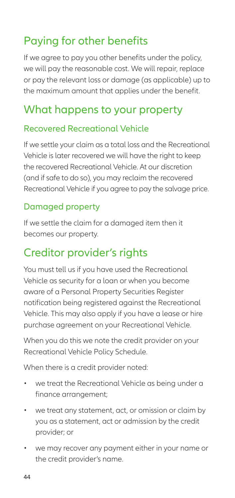# Paying for other benefits

If we agree to pay you other benefits under the policy, we will pay the reasonable cost. We will repair, replace or pay the relevant loss or damage (as applicable) up to the maximum amount that applies under the benefit.

### What happens to your property

### Recovered Recreational Vehicle

If we settle your claim as a total loss and the Recreational Vehicle is later recovered we will have the right to keep the recovered Recreational Vehicle. At our discretion (and if safe to do so), you may reclaim the recovered Recreational Vehicle if you agree to pay the salvage price.

### Damaged property

If we settle the claim for a damaged item then it becomes our property.

### Creditor provider's rights

You must tell us if you have used the Recreational Vehicle as security for a loan or when you become aware of a Personal Property Securities Register notification being registered against the Recreational Vehicle. This may also apply if you have a lease or hire purchase agreement on your Recreational Vehicle.

When you do this we note the credit provider on your Recreational Vehicle Policy Schedule.

When there is a credit provider noted:

- we treat the Recreational Vehicle as being under a finance arrangement;
- we treat any statement, act, or omission or claim by you as a statement, act or admission by the credit provider; or
- we may recover any payment either in your name or the credit provider's name.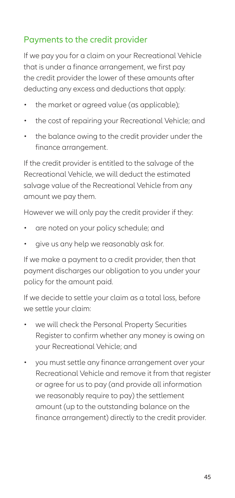### Payments to the credit provider

If we pay you for a claim on your Recreational Vehicle that is under a finance arrangement, we first pay the credit provider the lower of these amounts after deducting any excess and deductions that apply:

- the market or agreed value (as applicable);
- the cost of repairing your Recreational Vehicle; and
- the balance owing to the credit provider under the finance arrangement.

If the credit provider is entitled to the salvage of the Recreational Vehicle, we will deduct the estimated salvage value of the Recreational Vehicle from any amount we pay them.

However we will only pay the credit provider if they:

- are noted on your policy schedule; and
- give us any help we reasonably ask for.

If we make a payment to a credit provider, then that payment discharges our obligation to you under your policy for the amount paid.

If we decide to settle your claim as a total loss, before we settle your claim:

- we will check the Personal Property Securities Register to confirm whether any money is owing on your Recreational Vehicle; and
- you must settle any finance arrangement over your Recreational Vehicle and remove it from that register or agree for us to pay (and provide all information we reasonably require to pay) the settlement amount (up to the outstanding balance on the finance arrangement) directly to the credit provider.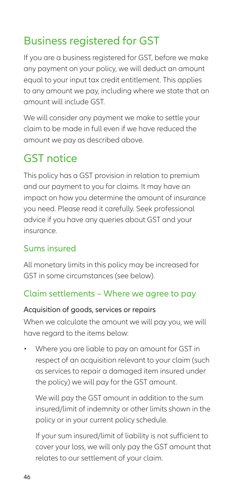# Business registered for GST

If you are a business registered for GST, before we make any payment on your policy, we will deduct an amount equal to your input tax credit entitlement. This applies to any amount we pay, including where we state that an amount will include GST.

We will consider any payment we make to settle your claim to be made in full even if we have reduced the amount we pay as described above.

### GST notice

This policy has a GST provision in relation to premium and our payment to you for claims. It may have an impact on how you determine the amount of insurance you need. Please read it carefully. Seek professional advice if you have any queries about GST and your insurance.

### Sums insured

All monetary limits in this policy may be increased for GST in some circumstances (see below).

### Claim settlements – Where we agree to pay

#### Acquisition of goods, services or repairs

When we calculate the amount we will pay you, we will have regard to the items below:

• Where you are liable to pay an amount for GST in respect of an acquisition relevant to your claim (such as services to repair a damaged item insured under the policy) we will pay for the GST amount.

We will pay the GST amount in addition to the sum insured/limit of indemnity or other limits shown in the policy or in your current policy schedule.

If your sum insured/limit of liability is not sufficient to cover your loss, we will only pay the GST amount that relates to our settlement of your claim.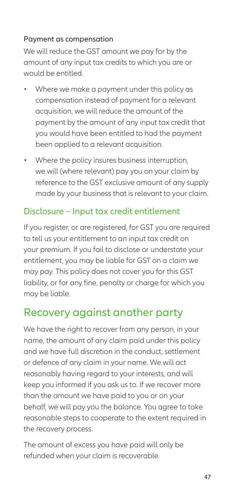#### Payment as compensation

We will reduce the GST amount we pay for by the amount of any input tax credits to which you are or would be entitled.

- Where we make a payment under this policy as compensation instead of payment for a relevant acquisition, we will reduce the amount of the payment by the amount of any input tax credit that you would have been entitled to had the payment been applied to a relevant acquisition.
- Where the policy insures business interruption, we will (where relevant) pay you on your claim by reference to the GST exclusive amount of any supply made by your business that is relevant to your claim.

#### Disclosure – Input tax credit entitlement

If you register, or are registered, for GST you are required to tell us your entitlement to an input tax credit on your premium. If you fail to disclose or understate your entitlement, you may be liable for GST on a claim we may pay. This policy does not cover you for this GST liability, or for any fine, penalty or charge for which you may be liable.

### Recovery against another party

We have the right to recover from any person, in your name, the amount of any claim paid under this policy and we have full discretion in the conduct, settlement or defence of any claim in your name. We will act reasonably having regard to your interests, and will keep you informed if you ask us to. If we recover more than the amount we have paid to you or on your behalf, we will pay you the balance. You agree to take reasonable steps to cooperate to the extent required in the recovery process.

The amount of excess you have paid will only be refunded when your claim is recoverable.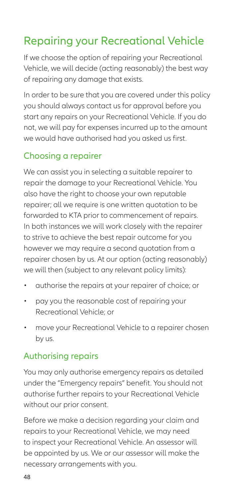# Repairing your Recreational Vehicle

If we choose the option of repairing your Recreational Vehicle, we will decide (acting reasonably) the best way of repairing any damage that exists.

In order to be sure that you are covered under this policy you should always contact us for approval before you start any repairs on your Recreational Vehicle. If you do not, we will pay for expenses incurred up to the amount we would have authorised had you asked us first.

### Choosing a repairer

We can assist you in selecting a suitable repairer to repair the damage to your Recreational Vehicle. You also have the right to choose your own reputable repairer; all we require is one written quotation to be forwarded to KTA prior to commencement of repairs. In both instances we will work closely with the repairer to strive to achieve the best repair outcome for you however we may require a second quotation from a repairer chosen by us. At our option (acting reasonably) we will then (subject to any relevant policy limits):

- authorise the repairs at your repairer of choice; or
- pay you the reasonable cost of repairing your Recreational Vehicle; or
- move your Recreational Vehicle to a repairer chosen by us.

### Authorising repairs

You may only authorise emergency repairs as detailed under the "Emergency repairs" benefit. You should not authorise further repairs to your Recreational Vehicle without our prior consent.

Before we make a decision regarding your claim and repairs to your Recreational Vehicle, we may need to inspect your Recreational Vehicle. An assessor will be appointed by us. We or our assessor will make the necessary arrangements with you.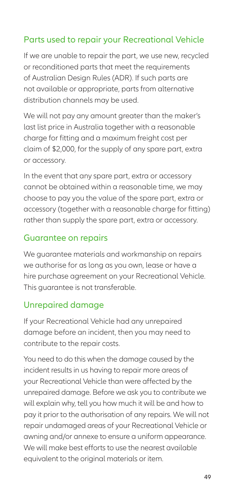### Parts used to repair your Recreational Vehicle

If we are unable to repair the part, we use new, recycled or reconditioned parts that meet the requirements of Australian Design Rules (ADR). If such parts are not available or appropriate, parts from alternative distribution channels may be used.

We will not pay any amount greater than the maker's last list price in Australia together with a reasonable charge for fitting and a maximum freight cost per claim of \$2,000, for the supply of any spare part, extra or accessory.

In the event that any spare part, extra or accessory cannot be obtained within a reasonable time, we may choose to pay you the value of the spare part, extra or accessory (together with a reasonable charge for fitting) rather than supply the spare part, extra or accessory.

#### Guarantee on repairs

We guarantee materials and workmanship on repairs we authorise for as long as you own, lease or have a hire purchase agreement on your Recreational Vehicle. This guarantee is not transferable.

#### Unrepaired damage

If your Recreational Vehicle had any unrepaired damage before an incident, then you may need to contribute to the repair costs.

You need to do this when the damage caused by the incident results in us having to repair more areas of your Recreational Vehicle than were affected by the unrepaired damage. Before we ask you to contribute we will explain why, tell you how much it will be and how to pay it prior to the authorisation of any repairs. We will not repair undamaged areas of your Recreational Vehicle or awning and/or annexe to ensure a uniform appearance. We will make best efforts to use the nearest available equivalent to the original materials or item.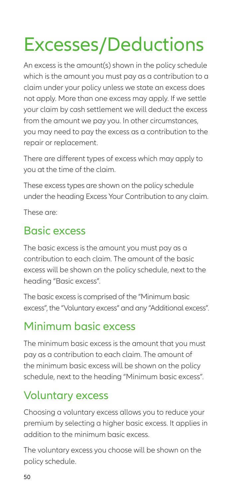# Excesses/Deductions

An excess is the amount(s) shown in the policy schedule which is the amount you must pay as a contribution to a claim under your policy unless we state an excess does not apply. More than one excess may apply. If we settle your claim by cash settlement we will deduct the excess from the amount we pay you. In other circumstances, you may need to pay the excess as a contribution to the repair or replacement.

There are different types of excess which may apply to you at the time of the claim.

These excess types are shown on the policy schedule under the heading Excess Your Contribution to any claim.

These are:

### Basic excess

The basic excess is the amount you must pay as a contribution to each claim. The amount of the basic excess will be shown on the policy schedule, next to the heading "Basic excess".

The basic excess is comprised of the "Minimum basic excess", the "Voluntary excess" and any "Additional excess".

### Minimum basic excess

The minimum basic excess is the amount that you must pay as a contribution to each claim. The amount of the minimum basic excess will be shown on the policy schedule, next to the heading "Minimum basic excess".

### Voluntary excess

Choosing a voluntary excess allows you to reduce your premium by selecting a higher basic excess. It applies in addition to the minimum basic excess.

The voluntary excess you choose will be shown on the policy schedule.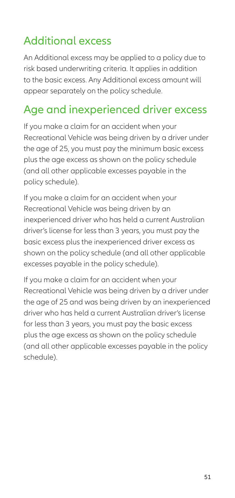# Additional excess

An Additional excess may be applied to a policy due to risk based underwriting criteria. It applies in addition to the basic excess. Any Additional excess amount will appear separately on the policy schedule.

### Age and inexperienced driver excess

If you make a claim for an accident when your Recreational Vehicle was being driven by a driver under the age of 25, you must pay the minimum basic excess plus the age excess as shown on the policy schedule (and all other applicable excesses payable in the policy schedule).

If you make a claim for an accident when your Recreational Vehicle was being driven by an inexperienced driver who has held a current Australian driver's license for less than 3 years, you must pay the basic excess plus the inexperienced driver excess as shown on the policy schedule (and all other applicable excesses payable in the policy schedule).

If you make a claim for an accident when your Recreational Vehicle was being driven by a driver under the age of 25 and was being driven by an inexperienced driver who has held a current Australian driver's license for less than 3 years, you must pay the basic excess plus the age excess as shown on the policy schedule (and all other applicable excesses payable in the policy schedule).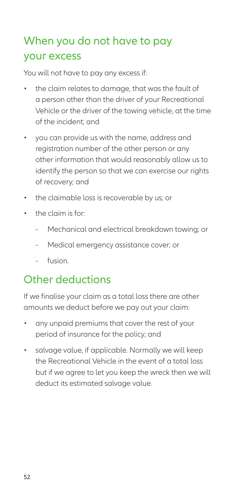# When you do not have to pay your excess

You will not have to pay any excess if:

- the claim relates to damage, that was the fault of a person other than the driver of your Recreational Vehicle or the driver of the towing vehicle, at the time of the incident; and
- you can provide us with the name, address and registration number of the other person or any other information that would reasonably allow us to identify the person so that we can exercise our rights of recovery; and
- the claimable loss is recoverable by us; or
- the claim is for:
	- Mechanical and electrical breakdown towing; or
	- Medical emergency assistance cover; or
	- fusion.

# Other deductions

If we finalise your claim as a total loss there are other amounts we deduct before we pay out your claim:

- any unpaid premiums that cover the rest of your period of insurance for the policy; and
- salvage value, if applicable. Normally we will keep the Recreational Vehicle in the event of a total loss but if we agree to let you keep the wreck then we will deduct its estimated salvage value.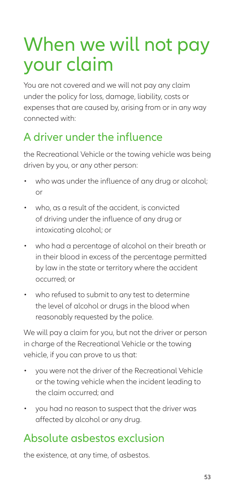# When we will not pay your claim

You are not covered and we will not pay any claim under the policy for loss, damage, liability, costs or expenses that are caused by, arising from or in any way connected with:

# A driver under the influence

the Recreational Vehicle or the towing vehicle was being driven by you, or any other person:

- who was under the influence of any drug or alcohol; or
- who, as a result of the accident, is convicted of driving under the influence of any drug or intoxicating alcohol; or
- who had a percentage of alcohol on their breath or in their blood in excess of the percentage permitted by law in the state or territory where the accident occurred; or
- who refused to submit to any test to determine the level of alcohol or drugs in the blood when reasonably requested by the police.

We will pay a claim for you, but not the driver or person in charge of the Recreational Vehicle or the towing vehicle, if you can prove to us that:

- you were not the driver of the Recreational Vehicle or the towing vehicle when the incident leading to the claim occurred; and
- you had no reason to suspect that the driver was affected by alcohol or any drug.

# Absolute asbestos exclusion

the existence, at any time, of asbestos.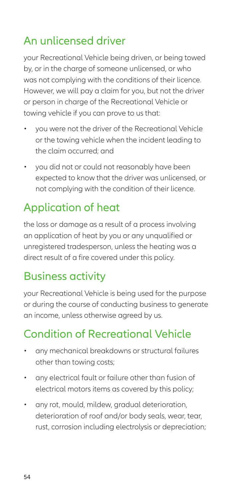# An unlicensed driver

your Recreational Vehicle being driven, or being towed by, or in the charge of someone unlicensed, or who was not complying with the conditions of their licence. However, we will pay a claim for you, but not the driver or person in charge of the Recreational Vehicle or towing vehicle if you can prove to us that:

- you were not the driver of the Recreational Vehicle or the towing vehicle when the incident leading to the claim occurred; and
- you did not or could not reasonably have been expected to know that the driver was unlicensed, or not complying with the condition of their licence.

# Application of heat

the loss or damage as a result of a process involving an application of heat by you or any unqualified or unregistered tradesperson, unless the heating was a direct result of a fire covered under this policy.

### Business activity

your Recreational Vehicle is being used for the purpose or during the course of conducting business to generate an income, unless otherwise agreed by us.

# Condition of Recreational Vehicle

- any mechanical breakdowns or structural failures other than towing costs;
- any electrical fault or failure other than fusion of electrical motors items as covered by this policy;
- any rot, mould, mildew, gradual deterioration, deterioration of roof and/or body seals, wear, tear, rust, corrosion including electrolysis or depreciation;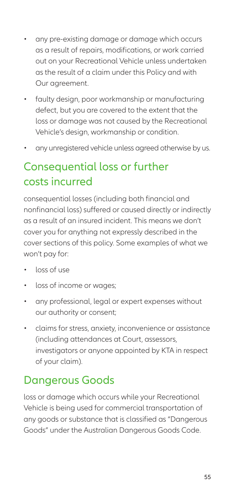- any pre-existing damage or damage which occurs as a result of repairs, modifications, or work carried out on your Recreational Vehicle unless undertaken as the result of a claim under this Policy and with Our agreement.
- faulty design, poor workmanship or manufacturing defect, but you are covered to the extent that the loss or damage was not caused by the Recreational Vehicle's design, workmanship or condition.
- any unregistered vehicle unless agreed otherwise by us.

# Consequential loss or further costs incurred

consequential losses (including both financial and nonfinancial loss) suffered or caused directly or indirectly as a result of an insured incident. This means we don't cover you for anything not expressly described in the cover sections of this policy. Some examples of what we won't pay for:

- loss of use
- loss of income or wages;
- any professional, legal or expert expenses without our authority or consent;
- claims for stress, anxiety, inconvenience or assistance (including attendances at Court, assessors, investigators or anyone appointed by KTA in respect of your claim).

### Dangerous Goods

loss or damage which occurs while your Recreational Vehicle is being used for commercial transportation of any goods or substance that is classified as "Dangerous Goods" under the Australian Dangerous Goods Code.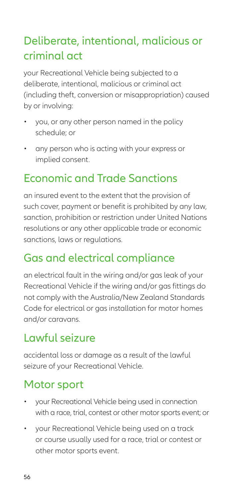# Deliberate, intentional, malicious or criminal act

your Recreational Vehicle being subjected to a deliberate, intentional, malicious or criminal act (including theft, conversion or misappropriation) caused by or involving:

- you, or any other person named in the policy schedule; or
- any person who is acting with your express or implied consent.

### Economic and Trade Sanctions

an insured event to the extent that the provision of such cover, payment or benefit is prohibited by any law, sanction, prohibition or restriction under United Nations resolutions or any other applicable trade or economic sanctions, laws or regulations.

### Gas and electrical compliance

an electrical fault in the wiring and/or gas leak of your Recreational Vehicle if the wiring and/or gas fittings do not comply with the Australia/New Zealand Standards Code for electrical or gas installation for motor homes and/or caravans.

### Lawful seizure

accidental loss or damage as a result of the lawful seizure of your Recreational Vehicle.

### Motor sport

- your Recreational Vehicle being used in connection with a race, trial, contest or other motor sports event; or
- your Recreational Vehicle being used on a track or course usually used for a race, trial or contest or other motor sports event.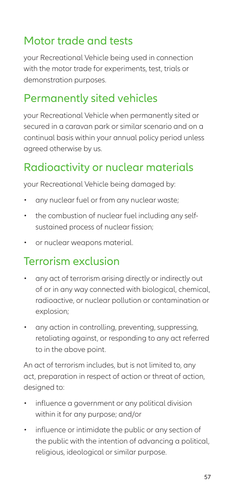# Motor trade and tests

your Recreational Vehicle being used in connection with the motor trade for experiments, test, trials or demonstration purposes.

### Permanently sited vehicles

your Recreational Vehicle when permanently sited or secured in a caravan park or similar scenario and on a continual basis within your annual policy period unless agreed otherwise by us.

### Radioactivity or nuclear materials

your Recreational Vehicle being damaged by:

- any nuclear fuel or from any nuclear waste;
- the combustion of nuclear fuel including any selfsustained process of nuclear fission;
- or nuclear weapons material.

### Terrorism exclusion

- any act of terrorism arising directly or indirectly out of or in any way connected with biological, chemical, radioactive, or nuclear pollution or contamination or explosion;
- any action in controlling, preventing, suppressing, retaliating against, or responding to any act referred to in the above point.

An act of terrorism includes, but is not limited to, any act, preparation in respect of action or threat of action, designed to:

- influence a government or any political division within it for any purpose; and/or
- influence or intimidate the public or any section of the public with the intention of advancing a political, religious, ideological or similar purpose.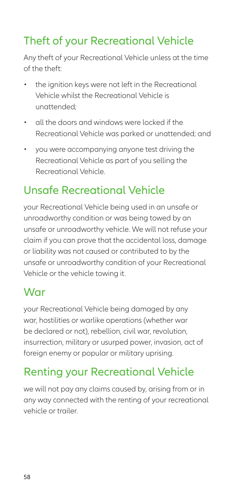# Theft of your Recreational Vehicle

Any theft of your Recreational Vehicle unless at the time of the theft:

- the ignition keys were not left in the Recreational Vehicle whilst the Recreational Vehicle is unattended;
- all the doors and windows were locked if the Recreational Vehicle was parked or unattended; and
- you were accompanying anyone test driving the Recreational Vehicle as part of you selling the Recreational Vehicle.

# Unsafe Recreational Vehicle

your Recreational Vehicle being used in an unsafe or unroadworthy condition or was being towed by an unsafe or unroadworthy vehicle. We will not refuse your claim if you can prove that the accidental loss, damage or liability was not caused or contributed to by the unsafe or unroadworthy condition of your Recreational Vehicle or the vehicle towing it.

# War

your Recreational Vehicle being damaged by any war, hostilities or warlike operations (whether war be declared or not), rebellion, civil war, revolution, insurrection, military or usurped power, invasion, act of foreign enemy or popular or military uprising.

### Renting your Recreational Vehicle

we will not pay any claims caused by, arising from or in any way connected with the renting of your recreational vehicle or trailer.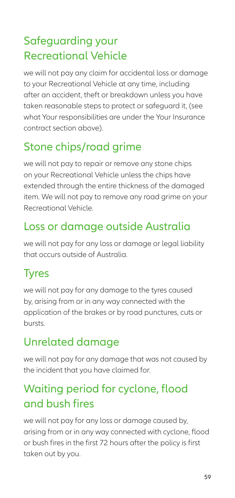# Safeguarding your Recreational Vehicle

we will not pay any claim for accidental loss or damage to your Recreational Vehicle at any time, including after an accident, theft or breakdown unless you have taken reasonable steps to protect or safeguard it, (see what Your responsibilities are under the Your Insurance contract section above).

# Stone chips/road grime

we will not pay to repair or remove any stone chips on your Recreational Vehicle unless the chips have extended through the entire thickness of the damaged item. We will not pay to remove any road grime on your Recreational Vehicle.

# Loss or damage outside Australia

we will not pay for any loss or damage or legal liability that occurs outside of Australia.

# Tyres

we will not pay for any damage to the tyres caused by, arising from or in any way connected with the application of the brakes or by road punctures, cuts or bursts.

# Unrelated damage

we will not pay for any damage that was not caused by the incident that you have claimed for.

# Waiting period for cyclone, flood and bush fires

we will not pay for any loss or damage caused by, arising from or in any way connected with cyclone, flood or bush fires in the first 72 hours after the policy is first taken out by you.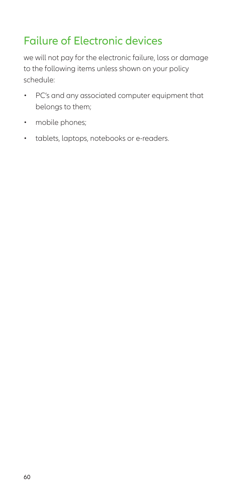# Failure of Electronic devices

we will not pay for the electronic failure, loss or damage to the following items unless shown on your policy schedule:

- PC's and any associated computer equipment that belongs to them;
- mobile phones:
- tablets, laptops, notebooks or e-readers.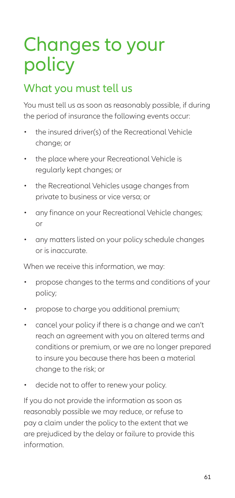# Changes to your policy

### What you must tell us

You must tell us as soon as reasonably possible, if during the period of insurance the following events occur:

- the insured driver(s) of the Recreational Vehicle change; or
- the place where your Recreational Vehicle is regularly kept changes; or
- the Recreational Vehicles usage changes from private to business or vice versa; or
- any finance on your Recreational Vehicle changes; or
- any matters listed on your policy schedule changes or is inaccurate.

When we receive this information, we may:

- propose changes to the terms and conditions of your policy;
- propose to charge you additional premium;
- cancel your policy if there is a change and we can't reach an agreement with you on altered terms and conditions or premium, or we are no longer prepared to insure you because there has been a material change to the risk; or
- decide not to offer to renew your policy.

If you do not provide the information as soon as reasonably possible we may reduce, or refuse to pay a claim under the policy to the extent that we are prejudiced by the delay or failure to provide this information.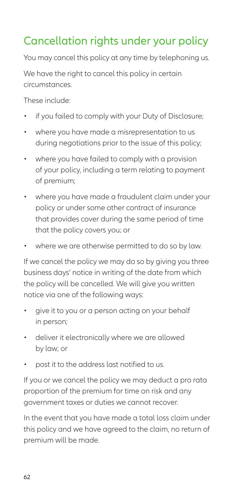# Cancellation rights under your policy

You may cancel this policy at any time by telephoning us.

We have the right to cancel this policy in certain circumstances.

These include:

- if you failed to comply with your Duty of Disclosure;
- where you have made a misrepresentation to us during negotiations prior to the issue of this policy;
- where you have failed to comply with a provision of your policy, including a term relating to payment of premium;
- where you have made a fraudulent claim under your policy or under some other contract of insurance that provides cover during the same period of time that the policy covers you; or
- where we are otherwise permitted to do so by law.

If we cancel the policy we may do so by giving you three business days' notice in writing of the date from which the policy will be cancelled. We will give you written notice via one of the following ways:

- give it to you or a person acting on your behalf in person;
- deliver it electronically where we are allowed by law; or
- post it to the address last notified to us.

If you or we cancel the policy we may deduct a pro rata proportion of the premium for time on risk and any government taxes or duties we cannot recover.

In the event that you have made a total loss claim under this policy and we have agreed to the claim, no return of premium will be made.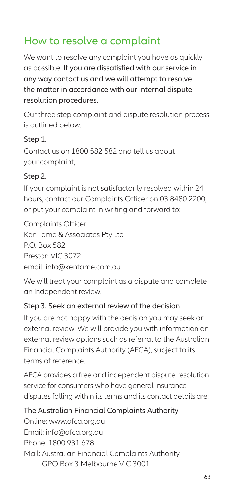# How to resolve a complaint

We want to resolve any complaint you have as quickly as possible. If you are dissatisfied with our service in any way contact us and we will attempt to resolve the matter in accordance with our internal dispute resolution procedures.

Our three step complaint and dispute resolution process is outlined below.

#### Step 1.

Contact us on 1800 582 582 and tell us about your complaint,

#### Step 2.

If your complaint is not satisfactorily resolved within 24 hours, contact our Complaints Officer on 03 8480 2200, or put your complaint in writing and forward to:

Complaints Officer Ken Tame & Associates Pty Ltd P.O. Box 582 Preston VIC 3072 email: info@kentame.com.au

We will treat your complaint as a dispute and complete an independent review.

#### Step 3. Seek an external review of the decision

If you are not happy with the decision you may seek an external review. We will provide you with information on external review options such as referral to the Australian Financial Complaints Authority (AFCA), subject to its terms of reference.

AFCA provides a free and independent dispute resolution service for consumers who have general insurance disputes falling within its terms and its contact details are:

#### The Australian Financial Complaints Authority

Online: www.afca.org.au Email: info@afca.org.au Phone: 1800 931 678 Mail: Australian Financial Complaints Authority GPO Box 3 Melbourne VIC 3001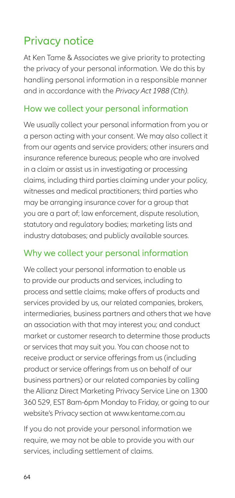### Privacy notice

At Ken Tame & Associates we give priority to protecting the privacy of your personal information. We do this by handling personal information in a responsible manner and in accordance with the *Privacy Act 1988 (Cth)*.

#### How we collect your personal information

We usually collect your personal information from you or a person acting with your consent. We may also collect it from our agents and service providers; other insurers and insurance reference bureaus; people who are involved in a claim or assist us in investigating or processing claims, including third parties claiming under your policy, witnesses and medical practitioners; third parties who may be arranging insurance cover for a group that you are a part of; law enforcement, dispute resolution, statutory and regulatory bodies; marketing lists and industry databases; and publicly available sources.

### Why we collect your personal information

We collect your personal information to enable us to provide our products and services, including to process and settle claims; make offers of products and services provided by us, our related companies, brokers, intermediaries, business partners and others that we have an association with that may interest you; and conduct market or customer research to determine those products or services that may suit you. You can choose not to receive product or service offerings from us (including product or service offerings from us on behalf of our business partners) or our related companies by calling the Allianz Direct Marketing Privacy Service Line on 1300 360 529, EST 8am-6pm Monday to Friday, or going to our website's Privacy section at www.kentame.com.au

If you do not provide your personal information we require, we may not be able to provide you with our services, including settlement of claims.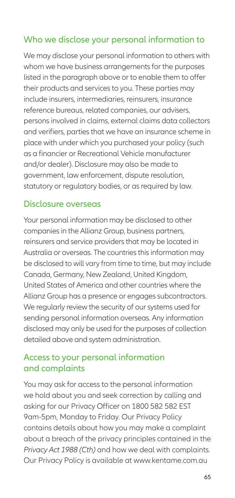### Who we disclose your personal information to

We may disclose your personal information to others with whom we have business arrangements for the purposes listed in the paragraph above or to enable them to offer their products and services to you. These parties may include insurers, intermediaries, reinsurers, insurance reference bureaus, related companies, our advisers, persons involved in claims, external claims data collectors and verifiers, parties that we have an insurance scheme in place with under which you purchased your policy (such as a financier or Recreational Vehicle manufacturer and/or dealer). Disclosure may also be made to government, law enforcement, dispute resolution, statutory or regulatory bodies, or as required by law.

#### Disclosure overseas

Your personal information may be disclosed to other companies in the Allianz Group, business partners, reinsurers and service providers that may be located in Australia or overseas. The countries this information may be disclosed to will vary from time to time, but may include Canada, Germany, New Zealand, United Kingdom, United States of America and other countries where the Allianz Group has a presence or engages subcontractors. We regularly review the security of our systems used for sending personal information overseas. Any information disclosed may only be used for the purposes of collection detailed above and system administration.

#### Access to your personal information and complaints

You may ask for access to the personal information we hold about you and seek correction by calling and asking for our Privacy Officer on 1800 582 582 EST 9am-5pm, Monday to Friday. Our Privacy Policy contains details about how you may make a complaint about a breach of the privacy principles contained in the *Privacy Act 1988 (Cth)* and how we deal with complaints. Our Privacy Policy is available at www.kentame.com.au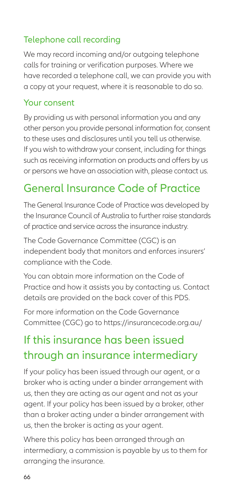### Telephone call recording

We may record incoming and/or outgoing telephone calls for training or verification purposes. Where we have recorded a telephone call, we can provide you with a copy at your request, where it is reasonable to do so.

#### Your consent

By providing us with personal information you and any other person you provide personal information for, consent to these uses and disclosures until you tell us otherwise. If you wish to withdraw your consent, including for things such as receiving information on products and offers by us or persons we have an association with, please contact us.

### General Insurance Code of Practice

The General Insurance Code of Practice was developed by the Insurance Council of Australia to further raise standards of practice and service across the insurance industry.

The Code Governance Committee (CGC) is an independent body that monitors and enforces insurers' compliance with the Code.

You can obtain more information on the Code of Practice and how it assists you by contacting us. Contact details are provided on the back cover of this PDS.

For more information on the Code Governance Committee (CGC) go to https://insurancecode.org.au/

# If this insurance has been issued through an insurance intermediary

If your policy has been issued through our agent, or a broker who is acting under a binder arrangement with us, then they are acting as our agent and not as your agent. If your policy has been issued by a broker, other than a broker acting under a binder arrangement with us, then the broker is acting as your agent.

Where this policy has been arranged through an intermediary, a commission is payable by us to them for arranging the insurance.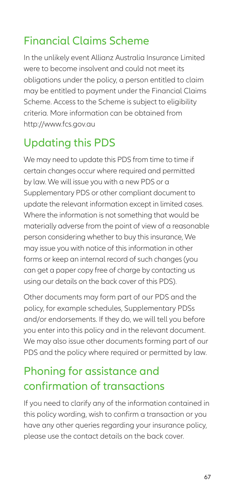# Financial Claims Scheme

In the unlikely event Allianz Australia Insurance Limited were to become insolvent and could not meet its obligations under the policy, a person entitled to claim may be entitled to payment under the Financial Claims Scheme. Access to the Scheme is subject to eligibility criteria. More information can be obtained from http://www.fcs.gov.au

# Updating this PDS

We may need to update this PDS from time to time if certain changes occur where required and permitted by law. We will issue you with a new PDS or a Supplementary PDS or other compliant document to update the relevant information except in limited cases. Where the information is not something that would be materially adverse from the point of view of a reasonable person considering whether to buy this insurance, We may issue you with notice of this information in other forms or keep an internal record of such changes (you can get a paper copy free of charge by contacting us using our details on the back cover of this PDS).

Other documents may form part of our PDS and the policy, for example schedules, Supplementary PDSs and/or endorsements. If they do, we will tell you before you enter into this policy and in the relevant document. We may also issue other documents forming part of our PDS and the policy where required or permitted by law.

# Phoning for assistance and confirmation of transactions

If you need to clarify any of the information contained in this policy wording, wish to confirm a transaction or you have any other queries regarding your insurance policy, please use the contact details on the back cover.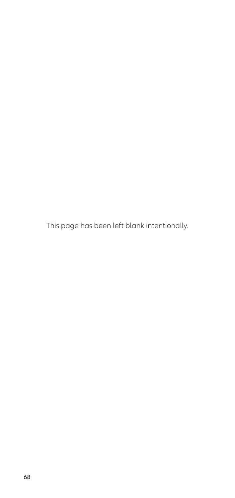This page has been left blank intentionally.